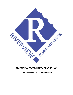

# **RIVERVIEW COMMUNITY CENTRE INC.**

**CONSTITUTION AND BYLAWS**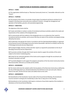## **CONSTITUTION OF RIVERVIEW COMMUNITY CENTRE**

### **ARTICLE 1 – NAME:**

**1.1** The organization shall be known as "Riverview Community Centre Inc.", hereinafter referred to as the "Centre".

### **ARTICLE 2 – PURPOSE:**

**2.1** The purpose of the Centre is to provide a broad range of recreational and leisure activities for all residents in the Riverview community area as defined in Article 4., through the management and operation of the facilities, grounds, and associated programming.

#### **ARTICLE 3 – OBJECTIVES:**

The objectives of the Centre shall be:

**3.1** To plan and initiate or conduct a variety of recreational and leisure activities suited to the needs and requirements of the residents of the designated area.

**3.2** To communicate with the residents of the designated area so as to determine their needs for recreational and leisure activities, and to ensure that they are aware of the activities and programs being offered by the Centre.

**3.3** To administer and operate the Centre in accordance with the Operating Responsibilities as approved by the General Council of Winnipeg Community Centres (hereinafter referred to as GCWCC) and the City of Winnipeg Community Services Department.

**3.4** To prepare budget, financial, activity and other reports as required for presentation to the City of Winnipeg Community Services Department.

**3.5** To promote activities through which funds may be raised to support the activities of the centre subject to the Centre's fundraising policy.

**3.6** To plan for the continued operation of the Centre and its programs through the recruitment and training of volunteers and staff.

**3.7** To provide delegates to and support the programs and policies of the City Centre Community Centres Board (hereinafter referred to as CCCCB) and the GCWCC.

## **ARTICLE 4 – BOUNDARIES**

**4.1** The Centre shall serve the residents within the boundaries of the Riverview Community as defined by the City of Winnipeg which are: all lands bordered by Churchill Drive to the east and south, Osborne Street to the west, and the CN train tracks and Jubilee Street to the north.

#### **ARTICLE 5 - AMENDMENTS**

**5.1** Amendments to the Constitution may be made at the Annual General Meeting. All amendments must be received in writing by the membership no later than 21 days prior to the meeting.

**5.2** Amendments to the Constitution shall require a minimum of two-thirds majority of the members in attendance at the Annual General Meeting.

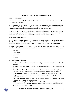## **BYLAWS OF RIVERVIEW COMMUNITY CENTRE**

## **BYLAW 1 – MEMBERSHIP**

**1.1** The membership of the Centre shall normally consist of those persons residing within the boundaries as specified under Article 4.

**1.2** Those persons not residing within the Centre's designated boundaries must apply and be approved for associate membership by the board. Election or appointment to a board position is considered automatic approval for associate membership subject to the term of the position.

**1.3** All residents of the City may use the facilities and take part in the programs provided by and subject to the rules and policies set forth by the Centre, however the Centre shall be concerned foremost with providing for the needs of those residents residing within their designated boundaries.

## **BYLAW 2- BOARD OF DIRECTORS**

**2.1 The Board of Directors** - The Board of Directors of the Riverview Community Centre Inc. shall consist of not less than seven elected members including the Executive Committee , who shall manage the business and affairs of the Centre and who shall be members as set out in BYLAW 1 Membership.

**2.2 Executive Committee (5**) - Board of Directors consisting of The Executive Committee shall consist of a least four of five Officers; being the President, Past President, Vice-President, Secretary and Treasure:

- President
- Vice President
- Past President
- Treasurer
- Secretary

## **2.3 Elected Board Members (9):**

- **Facilities and Grounds Director 1 -** lead facilities and ground maintenance efforts as outlined by the board.
- **Facilities and Grounds Director 2** -lead facilities and ground maintenance efforts as outlined by the board.
- **Renovations and Grants Director** assist the executive committee and staff with acquiring and apply for grants and be a consultant in all renovation projects undertaken by the centre.
- **Sports, Recreational and Leisure Director** act as a liaison between conveners/organizers , bringing forward concerns and updates to the board and assisting conveners/organizers with purchasing requests.
- **Events Director** act as a liaison for event leads by bringing forward concerns and reports to the board and assisting leads with event planning.
- **Neighbourhood Group Liaison Director -** connect with neighbourhood volunteer groups who are working to enhance the Riverview Community and provide the board with updates and help to coordinate joint RVCC projects/events.



#### *RIVERVIEW COMMUNITY CENTRE CONSTITUTION AND BYLAWS* 3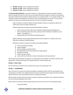- **Member at Large** Duties assigned by the Board
- **Member at Large** Duties assigned by the Board
- **Member at Large** Duties assigned by the Board

**2.4 Associate Board Members** - Associate members are appointed by the board. Associate members perform valuable functions for RVCC but are not always interested in being on the Board. Consequently, Associate members have the option of being voting or non-voting members. A non-voting member is not required to attend all meetings but is welcome to come and participate, but not vote. Or an Associate member can opt to be a voting member but must not miss 3 consecutive meetings.

**2.4.1** -The Board can add and delete Associate Member Positions as required to address the needs of the centre by simple majority vote.

**2.4.2** The following are Typical Associate Board Member Positions:

- o Sport Conveners (Soccer, Mini Soccer, Baseball, Softball, Hockey, Basketball, Etc..)
- o Event Committee Lead/s (Tourments, Spring Carnival, WinterFest, Frostbite Run, Fall Supper, Trivia Night, etc…)
- o Representative from the Riverview Ashland DayCare

**2.4.3** Co-positions may be approved based upon need and subject to a majority vote at any Executive Committee or Board Meeting.

**2.4.4** Sport Convener and Event Committee Leads Responsibilities:

- a) Chair all committee meetings
- b) Prepare budgets
- c) Attend meetings on behalf of RVCC
- d) Run registration reports and attend team swaps (Sports)
- e) Facilitate purchasing
- f) Submit volunteer reports
- g) Liaison with Events Director or Sports, Recreational and Leisure Director

**2.5** The Executive Committee may appoint not voting advisors to the Board, as it deems necessary and appropriate. The Board shall ratify such appointments by a simple majority vote

#### **BYLAW 3– FISCAL YEAR:**

**3.1** The fiscal year end of the Centre shall be from January 1st to December 31st.

#### **BYLAW 4 – GOVERNANCE:**

**4.1** In the event of a vacancy, the board may appoint a qualified member to fill the vacancy(ies) for the remaining term of office. Such appointment(s) must have two-thirds majority approval of the assembled Board of Directors and may be performed at any meeting of the Board.

**4.2** All members of Riverview Community of the age of majority may attend, vote or stand for election at the Annual General Meeting of the Centre.

**4.3** The office of a Director shall be vacated upon the occurrence of any one of the following events:

a) vacant by death;

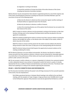b) resignation in writing to the Board;

c) removal by resolution of at least two-thirds of the other directors of the Centre including two Executive Committee members.

**4.4** Any Director may be removed from their elected or appointed position by a two thirds majority vote of the entire remaining Board of Directors including two Executive Committee Members upon the occurrence of any one of the following events:

> a) failure by the director to attend any three consecutive regular monthly meetings of the Board without an approved reason from the board;

b) failure by the director to disclose a conflict of interest;

c) where the remaining directors are of the opinion that the director has not acted in the best interest of the centre.

**4.4.1** A motion to remove a director must be presented in writing to the Secretary no later than fourteen (14) days prior to the meeting of the Board which shall then be placed on the next agenda for consideration.

**4.4.2** The meeting considering the motion to remove must have a quorum without counting the director who brought the motion, or the director who is the subject of the motion, neither of whom may vote on the motion.

**4.4.3** The motion to remove and the reasons for the motion must be mailed to the Director being removed no later than seven (7) days prior to the meeting dealing with the dismissal.

**4.4.4** The director being removed shall be given the opportunity to present evidence at the meeting considering the motion.

**4.5** The Board of Directors is to serve without remuneration. No director may directly or indirectly receive any profit from their position as director. A director may be reimbursed for reasonable expenses incurred by them in the performance of their duties and may be paid reasonably for any duties they perform under contract to the Centre.

**4.6** On any occasion in which a director, or a spouse or dependent of a director, has a personal material or other substantial interest in any contract or transaction to which the Centre is a party, it is hereby deemed that this has a conflict of interest and shall disclose such interest at the time. The director shall refrain from speaking to or voting on the resolution approving the transaction.

## **BYLAW 5 – EXECUTIVE COMMITTEE ROLES AND RESPONSIBILITIES:**

**5.1** The Executive Committee shall have the power to do all things necessary for the successful operation of the Centre, thus be empowered to:

**5.1.1** Make operational decisions in between Board meetings to be ratified at the next Board meeting, with the exception of major changes or large purchases (over \$10,000) which must go to the full Board for approval. Policy decisions must also be approved by the Board as a whole.

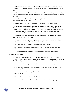**5.1.2** Decisions by the Executive Committee must be beneficial to the well-being of Riverview Community, advance the objectives of the Centre and not contrary to the general policy of the City.

**5.1.3** To commence any new form of activity or sport considered desirable by the Membership or in like manner discontinue any form of activity or sport being conducted under the auspices of the Centre.

**5.1.4** Expel or suspend from the Centre any person guilty of misconduct or any infraction of the rules and regulations of the Centre.

**5.1.5** To ensure that the Centre is operated on a non-political and non-sectarian basis.

**5.1.6** Notwithstanding any other provisions of the Constitution, appoint committees, either standing or temporary, prescribe their duties, powers and duration thereof. The Executive Committee may also appoint the Committee Chairperson. All Committees shall be responsible and accountable to the Board of Directors and must present progress reports at general meetings of the board.

**5.1.7** To appoint advisors to the Board as it deems necessary and appropriate. The Board of Directors shall ratify such appointments.

**5.1.8** Subject to ratification by the board, the Executive Committee shall make such rules and regulations regarding the use of the Centre facilities, as they may deem necessary.

**5.1.9** Ratify all board appointments including appointed board members.

**5.1.10** Create hiring committees for a General Manager and/or other staff positions when needed.

**5.1.11** Be the holder of all contracts and job descriptions of permanent staff positions.

## **5.2 DUTIES OF THE PRESIDENT**

**5.2.1** be the official spokesperson for the Riverview Community Centre in a manner that is consistent with positions or statements approved by the Board of Directors unless the Executive Committee delegates such authority to another member of the Executive Committee;

**5.2.2** preside over all meetings of Executive Committee and Board of Directors;

**5.2.3** act as a voting director on the City Centre Community Centres Board CCCCB board or appoint a designate;

**5.2.4** submit a report to all meetings of Board of Directors about activities undertaken during the preceding meeting

**5.2.5** carry out other duties assigned by the Executive Committee;

**5.2.6** act as the liaison between the Board of Directors and General Manager/Staff;

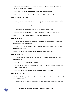**5.2.7** establish and chair the hiring committee for a General Manager and/or other staff as directed by the Executive Committee;

**5.2.8** be a signing authority on behalf of the Riverview Community Centre;

**5.2.9** authorize or provide a designate to authorize payroll for the General Manager.

#### **5.3 DUTIES OF THE VICE-PRESIDENT**

**5.3.1** act in the absence or incapacity of the President or if the President is unable or unwilling to so, and in these circumstances, the Vice President shall have the full powers to do so;

**5.3.2** assist the President with their duties as directed;

**5.3.3** carry out other duties assigned by the Executive Committee and/or Board ;

**5.3.4** have the power to represent the RVCC at meetings in the absence of the President;

**5.4.5** be a signing authority on behalf of the Riverview Community Centre.

#### **5.4 DUTIES OF SECRETARY**

**5.4.1** record and keep all minutes and proceedings of Board Meetings, Executive Committee Meetings and Annual General Meeting;

**5.4.2** cause to serve notices of required Board Meetings, Executive Committee Meetings and Annual General Meeting;

**5.4.3** carry out other duties assigned by the Executive Committee and/or Board.

#### **5.5 DUTIES OF TREASURER**

**5.5.1** provides financial reports to the Board on at least a Quarterly basis and to the Annual General Meeting;

**5.5.2** act as a signing authority on all accounts;

**5.5.3** prepare the budget for presentation to Executive Committee and Board of Directors with assistance of the Treasure;

**5.5.4** carry out other duties assigned by the Executive Committee and/or Board.

#### **5.6 DUTIES OF PAST-PRESIDENT**

**5.6.1** the Past President provides information as to history and precedent in the organization, as well as in future planning;

**5.6.2** In the absence of the President and the Vice-President, the Past President serves as President;

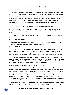## **5.6.3** carry out other duties assigned by the Executive Committee.

#### **BYLAW 6 – ELECTIONS:**

**6.1** Election of the Board of Directors shall be held at the Annual General Meeting of the Centre. Except for the Immediate Past President, the Officers shall be elected annually at the Annual General Meeting.

**6.2** Two months before the Annual General Meeting, the President will appoint a nominating committee which shall consist of no more than three members two of which shall be members of the Board. The Chairman of the nominating committee will ensure that a slate of officers will be prepared and presented at the Annual General Meeting. Nominees must express their willingness to stand either by being present at the elections or by written consent.

**6.3** The Chair of the Annual General Meetingwill accept additional nominations from the floor.

**6.4** The Chair of the Annual General Meetingshall appoint at least two scrutinizers who will; distribute the ballots, make an official count, announce the results at the meeting through the Chair and destroy all ballots.

**6.5** The elected Board of Directors shall take office upon election unless otherwise provided for in the by-laws.

#### **BYLAW 7 – TERMS OF OFFICE:**

**7.1** Each director shall be elected for a one-year term. At each Annual General Meetingall directors on the incumbent board shall retire, but shall be eligible for re-election.

#### **BYLAW 8 – MEETINGS:**

**8.1** The Board will meet at least five times a year. (January, March, June, September, and November) Additional meetings can be called at the discretion of the Executive Committee. Notice of meetings including minutes of the previous meeting and a preliminary agenda shall be sent to each Board member at least seven days prior to the meeting, posted at the Centre, or published in the Riverview Reflector.

**8.2** The Executive Committee will meet monthly, except July, August, and December meetings will be held at the discretion of the President. Minutes of the Executive Committee Meeting will be presented at the first Board of Directors meeting following the Executive Meeting. Notice of the meeting will be mailed to the Executive Officers at least seven days prior to the meeting.

**8.3** Any Board member can attend an Executive meeting if they wish.

**8.4** Special General Meetings may be convened by the President, or by a minimum of one-third of the Board of Directors or by fifteen members in good standing of the Centre. Written requests must be acted upon within forty-five days of receipt of the request. Such requests shall state clearly the nature of the business proposed to be transacted. A special meeting shall consider only those matters that are identified in the notice of meeting. Notice of the meeting including the agenda shall be given to the membership at least 14 days prior to the meeting. Such notice may be given by way of advertisement in the community newspaper or a community centre newsletter and shall be prominently displayed on the Centre's bulletin board.

**8.5** An Annual General Meeting will be held before April 30th in each Calendar year. The Annual General Meeting shall be convened for the purpose of reporting the year's activities and the election of officers.



#### *RIVERVIEW COMMUNITY CENTRE CONSTITUTION AND BYLAWS* 8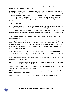Notice of meeting by way of advertisement in the community centre newsletter shall be given to the membership at least 30 days prior to the meeting.

**8.6** Committee Meetings will be held as required and will be held at the discretion of the Committee Chair. The Chair will provide a report to the Board of Directors at the next regularly scheduled meeting.

**8.7** All regular meetings of the Board shall be open to the public. Any member wishing to appear on the agenda must give notice to the President at least seven (7) days prior to the meeting. The Executive Committee will have the right to deny any such request with written notification stating the reasons for the denial.

## **BYLAW 9 – QUORUMS**

**9.1** The quorum for transaction of business at a regular or special meeting of the board shall consist of not less than two Executive Committee members and a minimum of five (5) members of the board.

**9.2** The quorum for the transaction of business at a Special General Meeting shall be not less than fifteen members of the Centre including five members of the board and two Executive Committee members of the board.

**9.3** The quorum for the transaction of business at an Annual General Meeting shall be not less than fifteen voting members.

**9.4** Meetings shall be adjourned and no business conducted if there is no quorum within thirty minutes after the scheduled time of the meeting. Failure to obtain a quorum for two consecutive meetings will cause the President to issue a Special Meeting notice within 14 days to conduct business. If a quorum is not obtained at this meeting, the onus will fall upon the general membership to determine a solution.

## **BYLAW 10 – VOTING PRIVILEGES:**

**10.1** At regular or special meetings of the Board of Directors each elected Board member in good standing in attendance with the exception of the President shall have one vote. Associate members who have opted to be voting members shall have a vote.

**10.2** The President may only vote in the event of a tie or if he/she represents one of the two executive members necessary to form a quorum.

**10.3** At the Annual General Meetingor any Special General Meeting of the Centre each member of the age of majority in attendance shall be entitled to a vote.

**10.4** A simple majority shall approve all motions with the exception of amendments to the Constitution and By-Laws, vacancy and co-position appointments.

**10.5** All amendments to the Constitution and By-Laws, vacancy and co-position appointments shall require a minimum of two-thirds majority.

**10.6** The Chair may at his/her discretion require any contentious issue to be voted on by ballot.

**10.7** No proxy votes will be allowed.

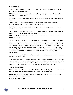#### **BYLAW 11 FINANCE:**

**11.1** The Board shall administer all funds and securities of the Centre and present an Annual Financial Review at the Annual General Meeting.

**11.2** An annual budget shall be submitted to the board for approval by no later than November Board Meeting of the following fiscal year.

**11.3** All funds raised by or on behalf of, or under the auspices of the Centre are subject to the approval of the Board.

**11.4** All funds and securities of the Centre shall be deposited in the name of the Centre with a recognized financial institution that shall be selected by the Board.

**11.5** All financial documents and contracts shall carry a minimum of two signatures as approved by resolution of the board.

**11.6** No person shall incur an expense or commitment on behalf of the Centre unless authorized by the Board of Directors or by the membership at an Annual General Meeting.

**11.7** The Board of Directors is authorized to incur such expenses as necessary for the continued operation of the Centre.

**11.8** Expenses or commitments in excess of the authority of 16.7 shall be submitted for approval in the following manner: the project must be approved in principle by a two-thirds majority of the Board at any general meeting; the president will appoint an ad-hoc committee to study the feasibility of the project who will provide a detailed written report to the Board within 60 days; acceptance and approval of the report will occur at the next general meeting requiring a two-thirds majority approval; for projects greater than \$10,000 in commitment or expense a Special General Meeting must be called within 60 days at which time the report will be reviewed and subject to a two-thirds majority approval for implementation.

**11.9** The books and records of the Centre shall be open to inspection by the members at all times, upon reasonable notice to the Board.

**11.10** The Treasurer shall recommend an external auditor to the Board. The Board shall annually appoint an auditor to review the accounts of the Centre, whose report shall be presented to the members at the Annual General Meetingand filed with the City of Winnipeg, Community Services Department. The person(s) appointed auditors should not include a person who is a director of the Centre.

## **BYLAW 12 – AMENDMENTS:**

**12.1** Amendments to the Bylaws may be made at the Annual General Meeting. All amendments must be received in writing by the membership no later than 21 days prior to the meeting.

**12.2** Amendments to the Bylaws shall require a minimum of two-thirds majority of the members in attendance at the Annual General Meeting.

## **BYLAW 13– INDEMNIFICATION:**